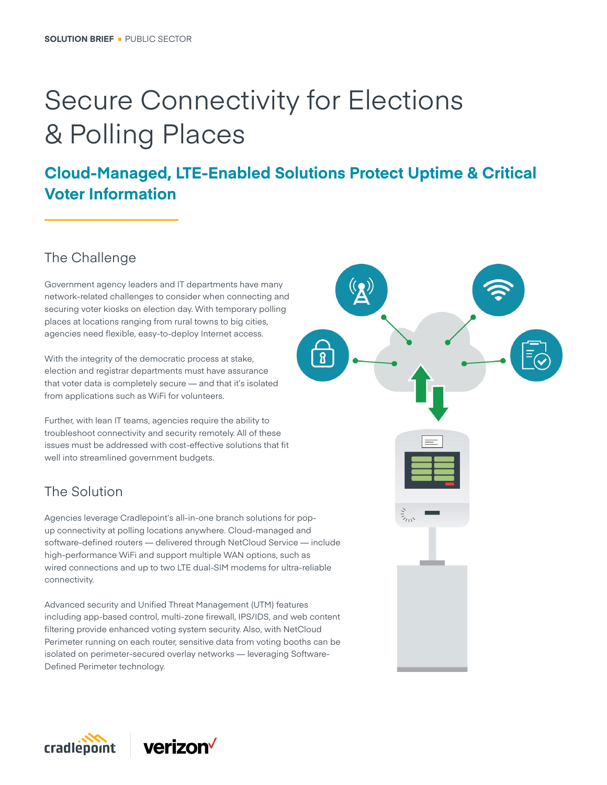# Secure Connectivity for Elections & Polling Places

## **Cloud-Managed, LTE-Enabled Solutions Protect Uptime & Critical Voter Information**

## The Challenge

Government agency leaders and IT departments have many network-related challenges to consider when connecting and securing voter kiosks on election day. With temporary polling places at locations ranging from rural towns to big cities, agencies need flexible, easy-to-deploy Internet access.

With the integrity of the democratic process at stake, election and registrar departments must have assurance that voter data is completely secure — and that it's isolated from applications such as WiFi for volunteers.

Further, with lean IT teams, agencies require the ability to troubleshoot connectivity and security remotely. All of these issues must be addressed with cost-effective solutions that fit well into streamlined government budgets.

## The Solution

Agencies leverage Cradlepoint's all-in-one branch solutions for popup connectivity at polling locations anywhere. Cloud-managed and software-defined routers — delivered through NetCloud Service — include high-performance WiFi and support multiple WAN options, such as wired connections and up to two LTE dual-SIM modems for ultra-reliable connectivity.

Advanced security and Unified Threat Management (UTM) features including app-based control, multi-zone firewall, IPS/IDS, and web content filtering provide enhanced voting system security. Also, with NetCloud Perimeter running on each router, sensitive data from voting booths can be isolated on perimeter-secured overlay networks — leveraging Software-Defined Perimeter technology.